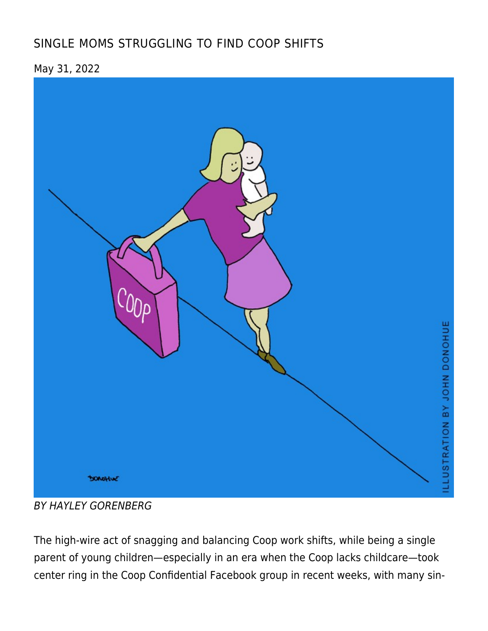# [SINGLE MOMS STRUGGLING TO FIND COOP SHIFTS](https://linewaitersgazette.com/2022/05/31/single-moms-struggling-to-find-coop-shifts/)

May 31, 2022



BY HAYLEY GORENBERG

The high-wire act of snagging and balancing Coop work shifts, while being a single parent of young children—especially in an era when the Coop lacks childcare—took center ring in the Coop Confidential Facebook group in recent weeks, with many sin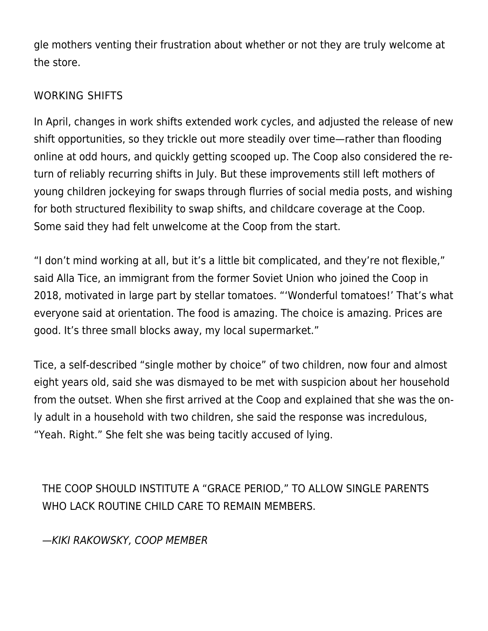gle mothers venting their frustration about whether or not they are truly welcome at the store.

### WORKING SHIFTS

In April, changes in work shifts extended work cycles, and adjusted the release of new shift opportunities, so they trickle out more steadily over time—rather than flooding online at odd hours, and quickly getting scooped up. The Coop also considered the return of reliably recurring shifts in July. But these improvements still left mothers of young children jockeying for swaps through flurries of social media posts, and wishing for both structured flexibility to swap shifts, and childcare coverage at the Coop. Some said they had felt unwelcome at the Coop from the start.

"I don't mind working at all, but it's a little bit complicated, and they're not flexible," said Alla Tice, an immigrant from the former Soviet Union who joined the Coop in 2018, motivated in large part by stellar tomatoes. "'Wonderful tomatoes!' That's what everyone said at orientation. The food is amazing. The choice is amazing. Prices are good. It's three small blocks away, my local supermarket."

Tice, a self-described "single mother by choice" of two children, now four and almost eight years old, said she was dismayed to be met with suspicion about her household from the outset. When she first arrived at the Coop and explained that she was the only adult in a household with two children, she said the response was incredulous, "Yeah. Right." She felt she was being tacitly accused of lying.

THE COOP SHOULD INSTITUTE A "GRACE PERIOD," TO ALLOW SINGLE PARENTS WHO LACK ROUTINE CHILD CARE TO REMAIN MEMBERS.

—KIKI RAKOWSKY, COOP MEMBER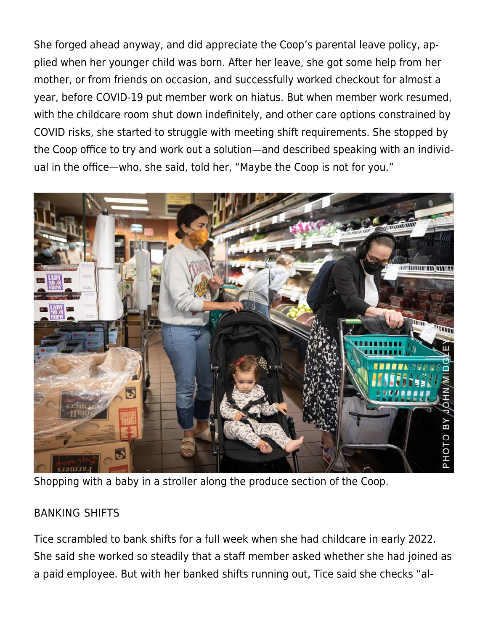She forged ahead anyway, and did appreciate the Coop's parental leave policy, applied when her younger child was born. After her leave, she got some help from her mother, or from friends on occasion, and successfully worked checkout for almost a year, before COVID-19 put member work on hiatus. But when member work resumed, with the childcare room shut down indefinitely, and other care options constrained by COVID risks, she started to struggle with meeting shift requirements. She stopped by the Coop office to try and work out a solution—and described speaking with an individual in the office—who, she said, told her, "Maybe the Coop is not for you."



Shopping with a baby in a stroller along the produce section of the Coop.

### BANKING SHIFTS

Tice scrambled to bank shifts for a full week when she had childcare in early 2022. She said she worked so steadily that a staff member asked whether she had joined as a paid employee. But with her banked shifts running out, Tice said she checks "al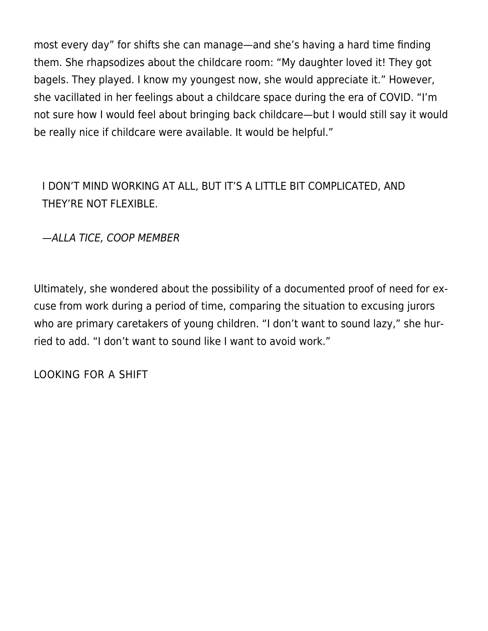most every day" for shifts she can manage—and she's having a hard time finding them. She rhapsodizes about the childcare room: "My daughter loved it! They got bagels. They played. I know my youngest now, she would appreciate it." However, she vacillated in her feelings about a childcare space during the era of COVID. "I'm not sure how I would feel about bringing back childcare—but I would still say it would be really nice if childcare were available. It would be helpful."

# I DON'T MIND WORKING AT ALL, BUT IT'S A LITTLE BIT COMPLICATED, AND THEY'RE NOT FLEXIBLE.

—ALLA TICE, COOP MEMBER

Ultimately, she wondered about the possibility of a documented proof of need for excuse from work during a period of time, comparing the situation to excusing jurors who are primary caretakers of young children. "I don't want to sound lazy," she hurried to add. "I don't want to sound like I want to avoid work."

LOOKING FOR A SHIFT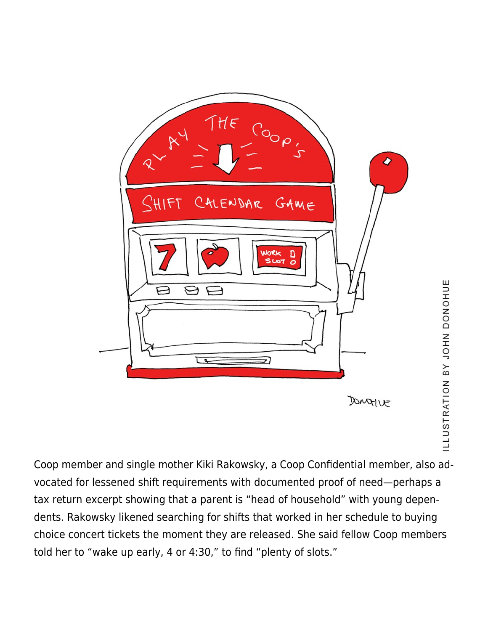

Coop member and single mother Kiki Rakowsky, a Coop Confidential member, also advocated for lessened shift requirements with documented proof of need—perhaps a tax return excerpt showing that a parent is "head of household" with young dependents. Rakowsky likened searching for shifts that worked in her schedule to buying choice concert tickets the moment they are released. She said fellow Coop members told her to "wake up early, 4 or 4:30," to find "plenty of slots."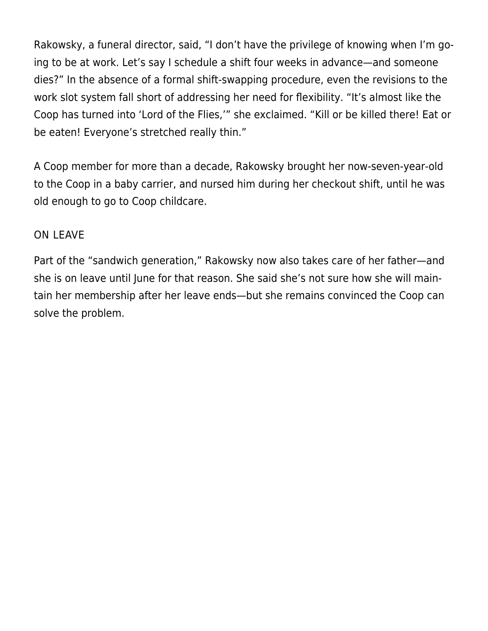Rakowsky, a funeral director, said, "I don't have the privilege of knowing when I'm going to be at work. Let's say I schedule a shift four weeks in advance—and someone dies?" In the absence of a formal shift-swapping procedure, even the revisions to the work slot system fall short of addressing her need for flexibility. "It's almost like the Coop has turned into 'Lord of the Flies,'" she exclaimed. "Kill or be killed there! Eat or be eaten! Everyone's stretched really thin."

A Coop member for more than a decade, Rakowsky brought her now-seven-year-old to the Coop in a baby carrier, and nursed him during her checkout shift, until he was old enough to go to Coop childcare.

### ON LEAVE

Part of the "sandwich generation," Rakowsky now also takes care of her father—and she is on leave until June for that reason. She said she's not sure how she will maintain her membership after her leave ends—but she remains convinced the Coop can solve the problem.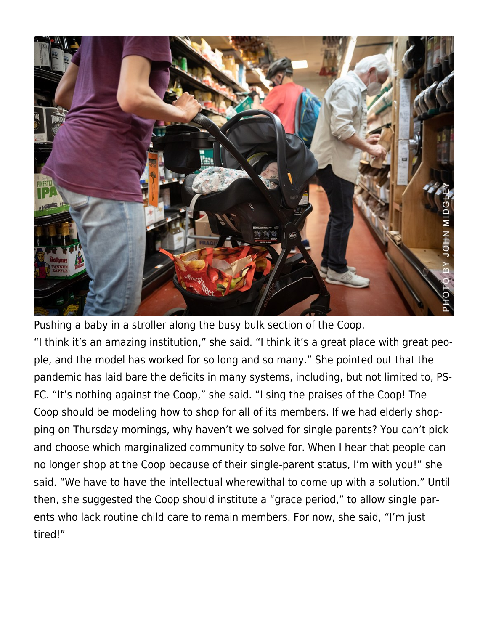

Pushing a baby in a stroller along the busy bulk section of the Coop. "I think it's an amazing institution," she said. "I think it's a great place with great people, and the model has worked for so long and so many." She pointed out that the pandemic has laid bare the deficits in many systems, including, but not limited to, PS-FC. "It's nothing against the Coop," she said. "I sing the praises of the Coop! The Coop should be modeling how to shop for all of its members. If we had elderly shopping on Thursday mornings, why haven't we solved for single parents? You can't pick and choose which marginalized community to solve for. When I hear that people can no longer shop at the Coop because of their single-parent status, I'm with you!" she said. "We have to have the intellectual wherewithal to come up with a solution." Until then, she suggested the Coop should institute a "grace period," to allow single parents who lack routine child care to remain members. For now, she said, "I'm just tired!"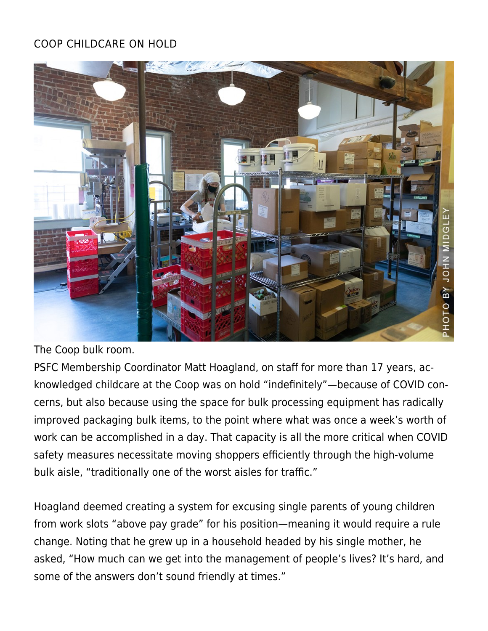## COOP CHILDCARE ON HOLD



The Coop bulk room.

PSFC Membership Coordinator Matt Hoagland, on staff for more than 17 years, acknowledged childcare at the Coop was on hold "indefinitely"—because of COVID concerns, but also because using the space for bulk processing equipment has radically improved packaging bulk items, to the point where what was once a week's worth of work can be accomplished in a day. That capacity is all the more critical when COVID safety measures necessitate moving shoppers efficiently through the high-volume bulk aisle, "traditionally one of the worst aisles for traffic."

Hoagland deemed creating a system for excusing single parents of young children from work slots "above pay grade" for his position—meaning it would require a rule change. Noting that he grew up in a household headed by his single mother, he asked, "How much can we get into the management of people's lives? It's hard, and some of the answers don't sound friendly at times."